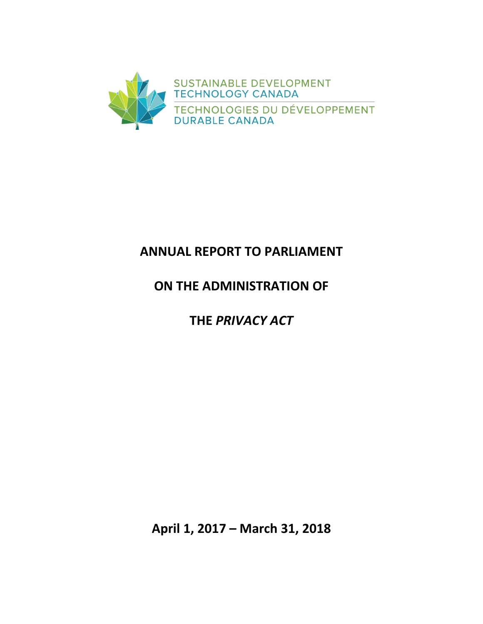

# **ANNUAL REPORT TO PARLIAMENT**

# **ON THE ADMINISTRATION OF**

# **THE** *PRIVACY ACT*

**April 1, 2017 – March 31, 2018**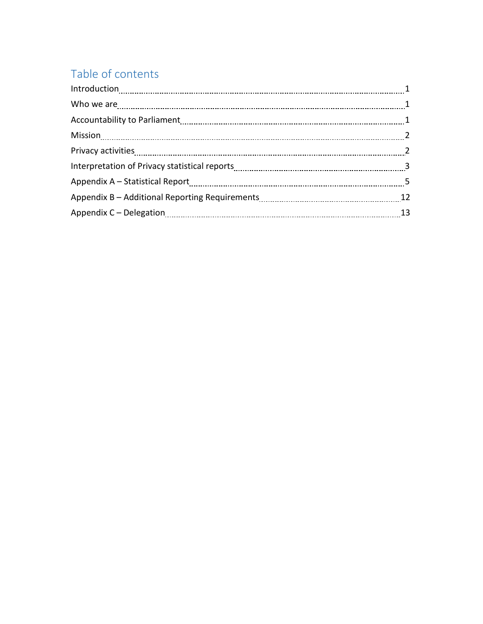# Table of contents

| $\label{eq:1} \mbox{Introduction} \underset{~~\ldots\\ \mbox{}}{\ldots\\ \mbox{}} \underset{~~\ldots\\ \mbox{}}{\ldots\\ \mbox{}} \underset{~~\ldots\\ \mbox{}}{\ldots\\ \mbox{}} \underset{~~\ldots\\ \mbox{}}{\ldots\\ \mbox{}} \underset{~~\ldots\\ \mbox{}}{\ldots\\ \mbox{}} \underset{~~\ldots\\ \mbox{}}{\ldots\\ \mbox{}} \underset{~~\ldots\\ \mbox{}}{\ldots\\ \mbox{}} \underset{~~\ldots\\ \mbox{}}{\ldots\\ \mbox{}} \underset{~~\ldots\\ \mbox{}}{\ldots\\ \mbox{}}$ |    |
|------------------------------------------------------------------------------------------------------------------------------------------------------------------------------------------------------------------------------------------------------------------------------------------------------------------------------------------------------------------------------------------------------------------------------------------------------------------------------------|----|
|                                                                                                                                                                                                                                                                                                                                                                                                                                                                                    |    |
|                                                                                                                                                                                                                                                                                                                                                                                                                                                                                    |    |
|                                                                                                                                                                                                                                                                                                                                                                                                                                                                                    |    |
|                                                                                                                                                                                                                                                                                                                                                                                                                                                                                    |    |
|                                                                                                                                                                                                                                                                                                                                                                                                                                                                                    |    |
|                                                                                                                                                                                                                                                                                                                                                                                                                                                                                    |    |
|                                                                                                                                                                                                                                                                                                                                                                                                                                                                                    | 12 |
|                                                                                                                                                                                                                                                                                                                                                                                                                                                                                    | 13 |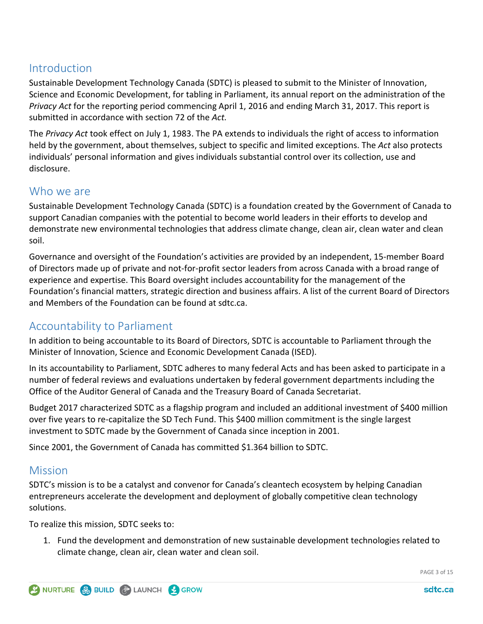## **Introduction**

Sustainable Development Technology Canada (SDTC) is pleased to submit to the Minister of Innovation, Science and Economic Development, for tabling in Parliament, its annual report on the administration of the *Privacy Act* for the reporting period commencing April 1, 2016 and ending March 31, 2017. This report is submitted in accordance with section 72 of the *Act.*

The *Privacy Act* took effect on July 1, 1983. The PA extends to individuals the right of access to information held by the government, about themselves, subject to specific and limited exceptions. The *Act* also protects individuals' personal information and gives individuals substantial control over its collection, use and disclosure.

## Who we are

Sustainable Development Technology Canada (SDTC) is a foundation created by the Government of Canada to support Canadian companies with the potential to become world leaders in their efforts to develop and demonstrate new environmental technologies that address climate change, clean air, clean water and clean soil.

Governance and oversight of the Foundation's activities are provided by an independent, 15-member Board of Directors made up of private and not-for-profit sector leaders from across Canada with a broad range of experience and expertise. This Board oversight includes accountability for the management of the Foundation's financial matters, strategic direction and business affairs. A list of the current Board of Directors and Members of the Foundation can be found [at](https://www.sdtc.ca/en/about-sdtc/team/board-committees) sdtc.ca.

## Accountability to Parliament

In addition to being accountable to its Board of Directors, SDTC is accountable to Parliament through the Minister of Innovation, Science and Economic Development Canada (ISED).

In its accountability to Parliament, SDTC adheres to many federal Acts and has been asked to participate in a number of federal reviews and evaluations undertaken by federal government departments including the Office of the Auditor General of Canada and the Treasury Board of Canada Secretariat.

Budget 2017 characterized SDTC as a flagship program and included an additional investment of \$400 million over five years to re-capitalize the SD Tech Fund. This \$400 million commitment is the single largest investment to SDTC made by the Government of Canada since inception in 2001.

Since 2001, the Government of Canada has committed \$1.364 billion to SDTC.

## **Mission**

SDTC's mission is to be a catalyst and convenor for Canada's cleantech ecosystem by helping Canadian entrepreneurs accelerate the development and deployment of globally competitive clean technology solutions.

To realize this mission, SDTC seeks to:

1. Fund the development and demonstration of new sustainable development technologies related to climate change, clean air, clean water and clean soil.

PAGE 3 of 15

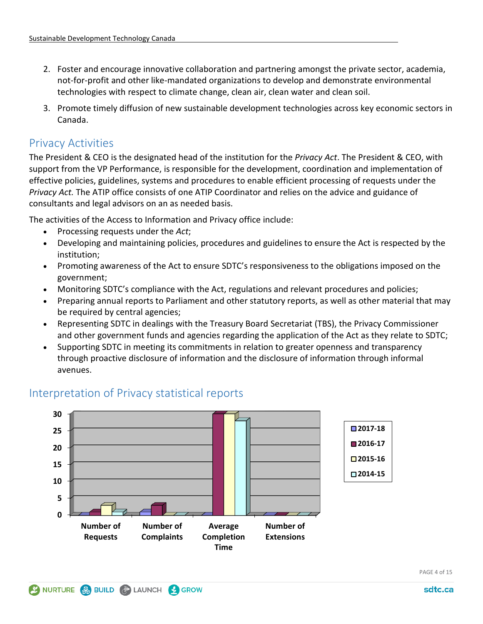- 2. Foster and encourage innovative collaboration and partnering amongst the private sector, academia, not-for-profit and other like-mandated organizations to develop and demonstrate environmental technologies with respect to climate change, clean air, clean water and clean soil.
- 3. Promote timely diffusion of new sustainable development technologies across key economic sectors in Canada.

## Privacy Activities

The President & CEO is the designated head of the institution for the *Privacy Act*. The President & CEO, with support from the VP Performance, is responsible for the development, coordination and implementation of effective policies, guidelines, systems and procedures to enable efficient processing of requests under the *Privacy Act.* The ATIP office consists of one ATIP Coordinator and relies on the advice and guidance of consultants and legal advisors on an as needed basis.

The activities of the Access to Information and Privacy office include:

- Processing requests under the *Act*;
- Developing and maintaining policies, procedures and guidelines to ensure the Act is respected by the institution;
- Promoting awareness of the Act to ensure SDTC's responsiveness to the obligations imposed on the government;
- Monitoring SDTC's compliance with the Act, regulations and relevant procedures and policies;
- Preparing annual reports to Parliament and other statutory reports, as well as other material that may be required by central agencies;
- Representing SDTC in dealings with the Treasury Board Secretariat (TBS), the Privacy Commissioner and other government funds and agencies regarding the application of the Act as they relate to SDTC;
- Supporting SDTC in meeting its commitments in relation to greater openness and transparency through proactive disclosure of information and the disclosure of information through informal avenues.



## Interpretation of Privacy statistical reports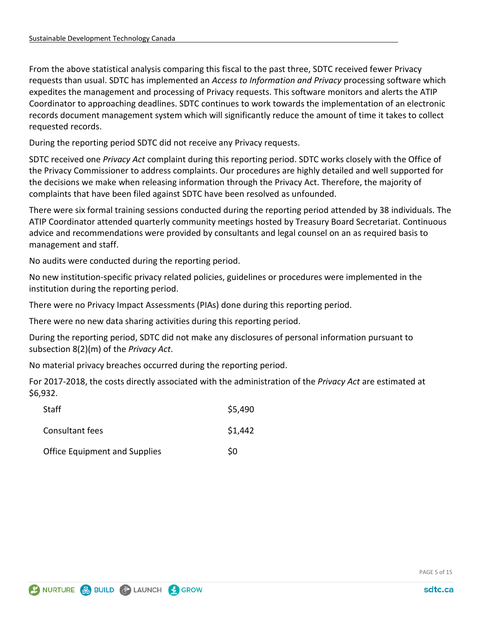From the above statistical analysis comparing this fiscal to the past three, SDTC received fewer Privacy requests than usual. SDTC has implemented an *Access to Information and Privacy* processing software which expedites the management and processing of Privacy requests. This software monitors and alerts the ATIP Coordinator to approaching deadlines. SDTC continues to work towards the implementation of an electronic records document management system which will significantly reduce the amount of time it takes to collect requested records.

During the reporting period SDTC did not receive any Privacy requests.

SDTC received one *Privacy Act* complaint during this reporting period. SDTC works closely with the Office of the Privacy Commissioner to address complaints. Our procedures are highly detailed and well supported for the decisions we make when releasing information through the Privacy Act. Therefore, the majority of complaints that have been filed against SDTC have been resolved as unfounded.

There were six formal training sessions conducted during the reporting period attended by 38 individuals. The ATIP Coordinator attended quarterly community meetings hosted by Treasury Board Secretariat. Continuous advice and recommendations were provided by consultants and legal counsel on an as required basis to management and staff.

No audits were conducted during the reporting period.

No new institution-specific privacy related policies, guidelines or procedures were implemented in the institution during the reporting period.

There were no Privacy Impact Assessments (PIAs) done during this reporting period.

There were no new data sharing activities during this reporting period.

During the reporting period, SDTC did not make any disclosures of personal information pursuant to subsection 8(2)(m) of the *Privacy Act*.

No material privacy breaches occurred during the reporting period.

For 2017-2018, the costs directly associated with the administration of the *Privacy Act* are estimated at \$6,932.

| Staff                                | \$5,490 |
|--------------------------------------|---------|
| Consultant fees                      | \$1,442 |
| <b>Office Equipment and Supplies</b> | \$0     |

PAGE 5 of 15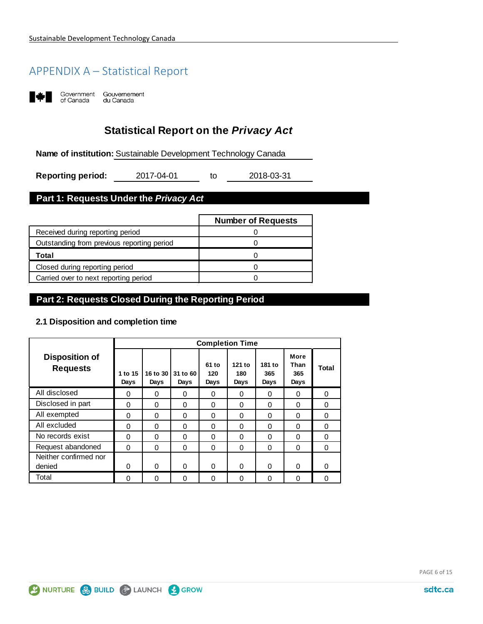## APPENDIX A – Statistical Report



Government Gouvernement<br>of Canada du Canada

## **Statistical Report on the** *Privacy Act*

**Name of institution:** Sustainable Development Technology Canada

to **Reporting period:** 2017-04-01 to 2018-03-31

## **Part 1: Requests Under the** *Privacy Act*

|                                            | <b>Number of Requests</b> |
|--------------------------------------------|---------------------------|
| Received during reporting period           |                           |
| Outstanding from previous reporting period |                           |
| Total                                      |                           |
| Closed during reporting period             |                           |
| Carried over to next reporting period      |                           |

#### **Part 2: Requests Closed During the Reporting Period**

#### **2.1 Disposition and completion time**

|                                          | <b>Completion Time</b> |                  |                  |                      |                       |                       |                             |          |
|------------------------------------------|------------------------|------------------|------------------|----------------------|-----------------------|-----------------------|-----------------------------|----------|
| <b>Disposition of</b><br><b>Requests</b> | 1 to 15<br>Days        | 16 to 30<br>Days | 31 to 60<br>Days | 61 to<br>120<br>Days | 121 to<br>180<br>Days | 181 to<br>365<br>Days | More<br>Than<br>365<br>Days | Total    |
| All disclosed                            | 0                      | 0                | 0                | 0                    | 0                     | 0                     | 0                           | $\Omega$ |
| Disclosed in part                        | $\Omega$               | $\Omega$         | $\Omega$         | 0                    | $\Omega$              | $\Omega$              | $\Omega$                    | 0        |
| All exempted                             | $\Omega$               | $\Omega$         | $\Omega$         | 0                    | $\Omega$              | $\Omega$              | 0                           | 0        |
| All excluded                             | $\Omega$               | $\Omega$         | $\Omega$         | 0                    | $\Omega$              | $\Omega$              | 0                           | $\Omega$ |
| No records exist                         | $\Omega$               | $\Omega$         | $\Omega$         | $\Omega$             | $\Omega$              | $\Omega$              | $\Omega$                    | 0        |
| Request abandoned                        | $\Omega$               | $\Omega$         | $\Omega$         | 0                    | $\Omega$              | 0                     | $\Omega$                    | $\Omega$ |
| Neither confirmed nor                    |                        |                  |                  |                      |                       |                       |                             |          |
| denied                                   | $\Omega$               | $\Omega$         | $\Omega$         | 0                    | $\Omega$              | $\Omega$              | 0                           | 0        |
| Total                                    | $\Omega$               | 0                | $\Omega$         | 0                    | $\Omega$              | 0                     | 0                           | 0        |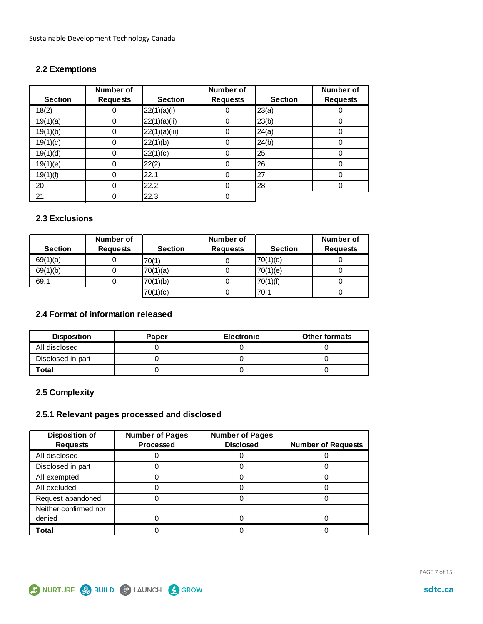#### **2.2 Exemptions**

|                | Number of       |                | <b>Number of</b> |                | Number of       |
|----------------|-----------------|----------------|------------------|----------------|-----------------|
| <b>Section</b> | <b>Requests</b> | <b>Section</b> | <b>Requests</b>  | <b>Section</b> | <b>Requests</b> |
| 18(2)          | 0               | 22(1)(a)(i)    |                  | 23(a)          |                 |
| 19(1)(a)       | 0               | 22(1)(a)(ii)   | 0                | 23(b)          |                 |
| 19(1)(b)       | 0               | 22(1)(a)(iii)  | 0                | 24(a)          |                 |
| 19(1)(c)       | 0               | 22(1)(b)       | 0                | 24(b)          |                 |
| 19(1)(d)       | 0               | 22(1)(c)       | 0                | 25             | 0               |
| 19(1)(e)       | 0               | 22(2)          | 0                | 26             |                 |
| 19(1)(f)       | 0               | 22.1           | 0                | 27             |                 |
| 20             | 0               | 22.2           | 0                | 28             |                 |
| 21             | 0               | 22.3           | 0                |                |                 |

#### **2.3 Exclusions**

| <b>Section</b> | Number of<br><b>Requests</b> | <b>Section</b> | Number of<br><b>Requests</b> | <b>Section</b> | Number of<br><b>Requests</b> |
|----------------|------------------------------|----------------|------------------------------|----------------|------------------------------|
| 69(1)(a)       |                              | 70(1)          |                              | 70(1)(d)       |                              |
| 69(1)(b)       |                              | 70(1)(a)       |                              | 70(1)(e)       |                              |
| 69.1           |                              | 70(1)(b)       |                              | 70(1)(f)       |                              |
|                |                              | 70(1)(c)       |                              | 70.1           |                              |

#### **2.4 Format of information released**

| <b>Disposition</b> | Paper | <b>Electronic</b> | <b>Other formats</b> |
|--------------------|-------|-------------------|----------------------|
| All disclosed      |       |                   |                      |
| Disclosed in part  |       |                   |                      |
| Total              |       |                   |                      |

## **2.5 Complexity**

#### **2.5.1 Relevant pages processed and disclosed**

| Disposition of        | <b>Number of Pages</b> | <b>Number of Pages</b> |                           |
|-----------------------|------------------------|------------------------|---------------------------|
| <b>Requests</b>       | <b>Processed</b>       | <b>Disclosed</b>       | <b>Number of Requests</b> |
| All disclosed         |                        |                        |                           |
| Disclosed in part     |                        |                        |                           |
| All exempted          |                        |                        |                           |
| All excluded          |                        |                        |                           |
| Request abandoned     |                        |                        |                           |
| Neither confirmed nor |                        |                        |                           |
| denied                |                        |                        |                           |
| Total                 |                        |                        |                           |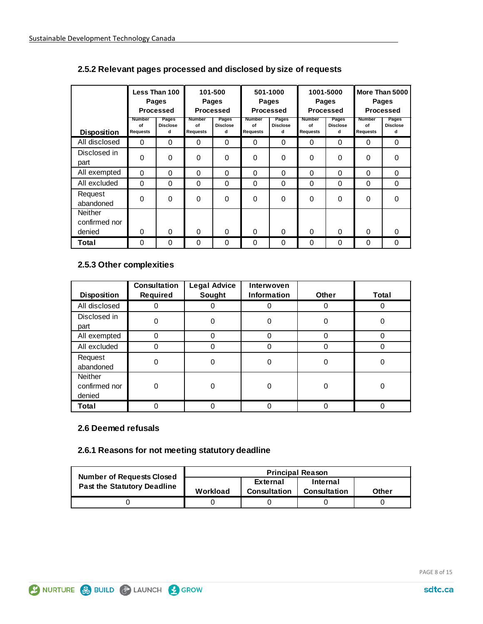|                                           |                                 | Less Than 100<br>Pages<br><b>Processed</b> |                                 | 101-500<br>501-1000<br><b>Pages</b><br>Pages<br><b>Processed</b><br><b>Processed</b> |                                 | 1001-5000<br>Pages<br><b>Processed</b> |                                 | More Than 5000<br><b>Pages</b><br><b>Processed</b> |                                        |                               |
|-------------------------------------------|---------------------------------|--------------------------------------------|---------------------------------|--------------------------------------------------------------------------------------|---------------------------------|----------------------------------------|---------------------------------|----------------------------------------------------|----------------------------------------|-------------------------------|
| <b>Disposition</b>                        | <b>Number</b><br>of<br>Requests | Pages<br><b>Disclose</b><br>d              | Number<br>of<br><b>Requests</b> | Pages<br><b>Disclose</b><br>d                                                        | <b>Number</b><br>of<br>Requests | Pages<br><b>Disclose</b><br>d          | <b>Number</b><br>of<br>Requests | Pages<br><b>Disclose</b><br>d                      | <b>Number</b><br>of<br><b>Requests</b> | Pages<br><b>Disclose</b><br>d |
| All disclosed                             | $\Omega$                        | $\Omega$                                   | $\Omega$                        | 0                                                                                    | $\Omega$                        | $\Omega$                               | $\Omega$                        | $\Omega$                                           | $\Omega$                               | $\Omega$                      |
| Disclosed in<br>part                      | 0                               | $\Omega$                                   | 0                               | 0                                                                                    | 0                               | 0                                      | 0                               | $\Omega$                                           | 0                                      | $\Omega$                      |
| All exempted                              | $\Omega$                        | $\Omega$                                   | $\Omega$                        | 0                                                                                    | $\Omega$                        | $\Omega$                               | $\Omega$                        | $\Omega$                                           | $\Omega$                               | $\Omega$                      |
| All excluded                              | $\Omega$                        | $\Omega$                                   | $\Omega$                        | 0                                                                                    | $\Omega$                        | 0                                      | $\Omega$                        | $\Omega$                                           | $\Omega$                               | $\Omega$                      |
| Request<br>abandoned                      | $\Omega$                        | $\Omega$                                   | $\Omega$                        | 0                                                                                    | $\Omega$                        | 0                                      | 0                               | $\Omega$                                           | 0                                      | $\Omega$                      |
| <b>Neither</b><br>confirmed nor<br>denied | $\Omega$                        | $\Omega$                                   | 0                               | 0                                                                                    | $\Omega$                        | $\Omega$                               | $\Omega$                        | $\Omega$                                           | O                                      | O                             |
| Total                                     | 0                               | $\Omega$                                   | $\Omega$                        | 0                                                                                    | $\Omega$                        | $\Omega$                               | 0                               | $\Omega$                                           | 0                                      | 0                             |

#### **2.5.2 Relevant pages processed and disclosed by size of requests**

#### **2.5.3 Other complexities**

| <b>Disposition</b>                        | <b>Consultation</b><br>Required | <b>Legal Advice</b><br>Sought | Interwoven<br><b>Information</b> | <b>Other</b> | <b>Total</b> |
|-------------------------------------------|---------------------------------|-------------------------------|----------------------------------|--------------|--------------|
| All disclosed                             |                                 |                               |                                  |              |              |
| Disclosed in<br>part                      | 0                               |                               | 0                                | 0            |              |
| All exempted                              | $\Omega$                        |                               | 0                                | 0            | 0            |
| All excluded                              | 0                               |                               | 0                                | 0            |              |
| Request<br>abandoned                      | 0                               |                               | 0                                | 0            | 0            |
| <b>Neither</b><br>confirmed nor<br>denied | 0                               | O                             | 0                                | ი            | 0            |
| Total                                     | 0                               |                               |                                  | Ω            |              |

#### **2.6 Deemed refusals**

#### **2.6.1 Reasons for not meeting statutory deadline**

| <b>Number of Requests Closed</b>   | <b>Principal Reason</b> |                          |                          |              |  |  |
|------------------------------------|-------------------------|--------------------------|--------------------------|--------------|--|--|
| <b>Past the Statutory Deadline</b> | Workload                | External<br>Consultation | Internal<br>Consultation | <b>Other</b> |  |  |
|                                    |                         |                          |                          |              |  |  |
|                                    |                         |                          |                          |              |  |  |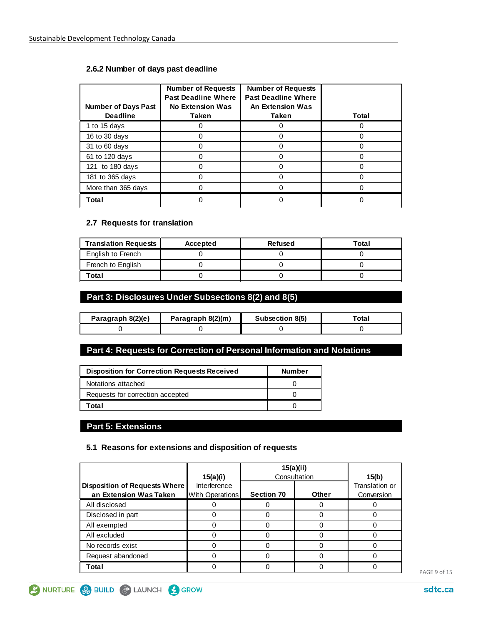#### **2.6.2 Number of days past deadline**

| <b>Number of Days Past</b><br><b>Deadline</b> | <b>Number of Requests</b><br><b>Past Deadline Where</b><br><b>No Extension Was</b><br>Taken | <b>Number of Requests</b><br><b>Past Deadline Where</b><br><b>An Extension Was</b><br>Taken | Total |
|-----------------------------------------------|---------------------------------------------------------------------------------------------|---------------------------------------------------------------------------------------------|-------|
| 1 to 15 days                                  |                                                                                             |                                                                                             |       |
| 16 to 30 days                                 |                                                                                             |                                                                                             |       |
| 31 to 60 days                                 |                                                                                             |                                                                                             |       |
| 61 to 120 days                                |                                                                                             |                                                                                             |       |
| 121 to 180 days                               |                                                                                             |                                                                                             |       |
| 181 to 365 days                               |                                                                                             |                                                                                             |       |
| More than 365 days                            |                                                                                             |                                                                                             |       |
| Total                                         |                                                                                             |                                                                                             |       |

#### **2.7 Requests for translation**

| <b>Translation Requests</b> | Accepted | <b>Refused</b> | Total |
|-----------------------------|----------|----------------|-------|
| English to French           |          |                |       |
| French to English           |          |                |       |
| Total                       |          |                |       |

#### **Part 3: Disclosures Under Subsections 8(2) and 8(5)**

| Paragraph 8(2)(e) | Paragraph 8(2)(m) | Subsection 8(5) | ™otaı |
|-------------------|-------------------|-----------------|-------|
|                   |                   |                 |       |

#### **Part 4: Requests for Correction of Personal Information and Notations**

| <b>Disposition for Correction Requests Received</b> | Number |
|-----------------------------------------------------|--------|
| Notations attached                                  |        |
| Requests for correction accepted                    |        |
| Total                                               |        |

#### **Part 5: Extensions**

#### **5.1 Reasons for extensions and disposition of requests**

|                                                         | 15(a)(i)                               | 15(a)(ii)<br>Consultation | 15(b)        |                              |
|---------------------------------------------------------|----------------------------------------|---------------------------|--------------|------------------------------|
| Disposition of Requests Where<br>an Extension Was Taken | Interference<br><b>With Operations</b> | <b>Section 70</b>         | <b>Other</b> | Translation or<br>Conversion |
| All disclosed                                           |                                        |                           |              |                              |
| Disclosed in part                                       |                                        |                           |              |                              |
| All exempted                                            |                                        |                           |              |                              |
| All excluded                                            |                                        |                           |              |                              |
| No records exist                                        |                                        |                           |              |                              |
| Request abandoned                                       |                                        |                           |              |                              |
| Total                                                   |                                        |                           |              |                              |

SINURTURE & BUILD & LAUNCH & GROW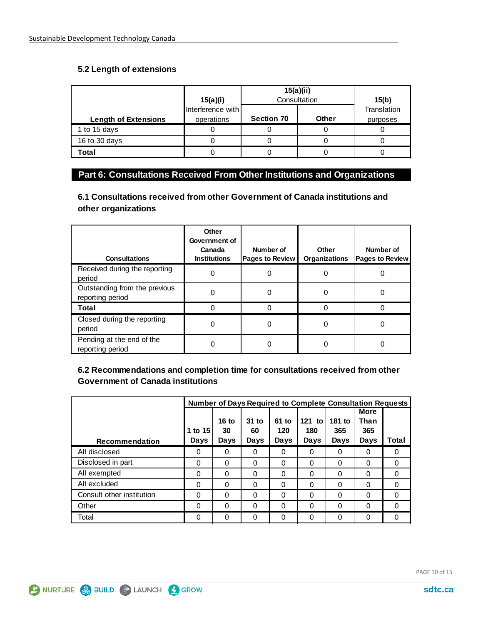#### **5.2 Length of extensions**

|                             | 15(a)(i)                        | 15(a)(ii)         | Consultation | 15(b)                   |
|-----------------------------|---------------------------------|-------------------|--------------|-------------------------|
| <b>Length of Extensions</b> | Interference with<br>operations | <b>Section 70</b> | <b>Other</b> | Translation<br>purposes |
| 1 to 15 days                |                                 |                   |              |                         |
| 16 to 30 days               |                                 |                   |              |                         |
| Total                       |                                 |                   |              |                         |

## **Part 6: Consultations Received From Other Institutions and Organizations**

**6.1 Consultations received from other Government of Canada institutions and other organizations**

| <b>Consultations</b>                              | Other<br>Government of<br>Canada<br><b>Institutions</b> | Number of<br><b>Pages to Review</b> | Other<br><b>Organizations</b> | Number of<br><b>Pages to Review</b> |
|---------------------------------------------------|---------------------------------------------------------|-------------------------------------|-------------------------------|-------------------------------------|
| Received during the reporting<br>period           | 0                                                       | 0                                   | 0                             |                                     |
| Outstanding from the previous<br>reporting period | 0                                                       |                                     | O                             |                                     |
| Total                                             |                                                         |                                     |                               |                                     |
| Closed during the reporting<br>period             | 0                                                       | 0                                   | 0                             | 0                                   |
| Pending at the end of the<br>reporting period     | 0                                                       |                                     |                               |                                     |

**6.2 Recommendations and completion time for consultations received from other Government of Canada institutions**

|                           | <b>Number of Days Required to Complete Consultation Requests</b> |          |          |          |          |        |             |          |
|---------------------------|------------------------------------------------------------------|----------|----------|----------|----------|--------|-------------|----------|
|                           |                                                                  |          |          |          |          |        | <b>More</b> |          |
|                           |                                                                  | 16 to    | $31$ to  | 61 to    | 121 to   | 181 to | Than        |          |
|                           | 1 to 15                                                          | 30       | 60       | 120      | 180      | 365    | 365         |          |
| Recommendation            | Days                                                             | Days     | Days     | Days     | Days     | Days   | Days        | Total    |
| All disclosed             | 0                                                                | 0        | 0        | 0        | $\Omega$ | 0      | 0           | 0        |
| Disclosed in part         | 0                                                                | 0        | $\Omega$ | 0        | $\Omega$ | 0      | $\Omega$    | $\Omega$ |
| All exempted              | $\Omega$                                                         | $\Omega$ | $\Omega$ | 0        | $\Omega$ | 0      | $\Omega$    | $\Omega$ |
| All excluded              | $\Omega$                                                         | $\Omega$ | $\Omega$ | $\Omega$ | $\Omega$ | 0      | $\Omega$    | $\Omega$ |
| Consult other institution | $\Omega$                                                         | $\Omega$ | $\Omega$ | 0        | $\Omega$ | 0      | $\Omega$    | $\Omega$ |
| Other                     | 0                                                                | $\Omega$ | 0        | 0        | $\Omega$ | 0      | $\Omega$    | 0        |
| Total                     | 0                                                                | 0        | $\Omega$ | 0        | $\Omega$ | 0      | $\Omega$    | $\Omega$ |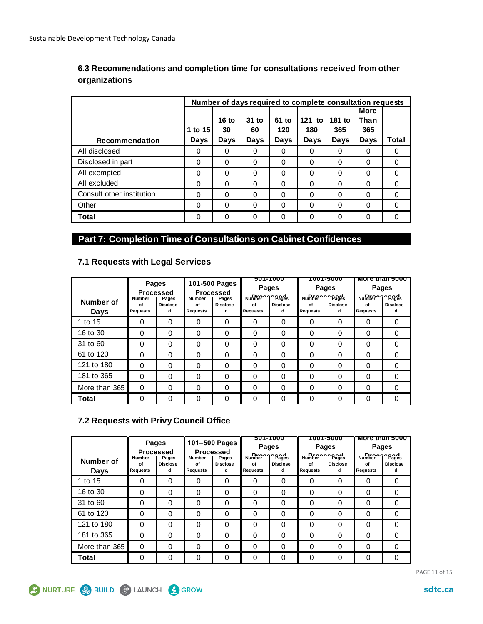|                           | Number of days required to complete consultation requests |          |          |          |          |        |             |          |
|---------------------------|-----------------------------------------------------------|----------|----------|----------|----------|--------|-------------|----------|
|                           |                                                           |          |          |          |          |        | <b>More</b> |          |
|                           |                                                           | 16 to    | $31$ to  | 61 to    | $121$ to | 181 to | Than        |          |
|                           | 1 to 15                                                   | 30       | 60       | 120      | 180      | 365    | 365         |          |
| <b>Recommendation</b>     | Days                                                      | Days     | Days     | Days     | Days     | Days   | Days        | Total    |
| All disclosed             | 0                                                         | 0        | 0        | 0        | O        | 0      | 0           | 0        |
| Disclosed in part         | 0                                                         | $\Omega$ | $\Omega$ | $\Omega$ | 0        | 0      | $\Omega$    | 0        |
| All exempted              | 0                                                         | $\Omega$ | 0        | 0        | 0        | 0      | 0           | 0        |
| All excluded              | 0                                                         | $\Omega$ | $\Omega$ | 0        | $\Omega$ | 0      | 0           | 0        |
| Consult other institution | 0                                                         | $\Omega$ | $\Omega$ | 0        | 0        | 0      | $\Omega$    | 0        |
| Other                     | $\Omega$                                                  | $\Omega$ | $\Omega$ | $\Omega$ | 0        | 0      | $\Omega$    | $\Omega$ |
| Total                     | 0                                                         | $\Omega$ | 0        | 0        | $\Omega$ | 0      | 0           | 0        |

#### **6.3 Recommendations and completion time for consultations received from other organizations**

## **Part 7: Completion Time of Consultations on Cabinet Confidences**

| Number of<br>Days | Number<br>οf<br>Requests | Pages<br><b>Processed</b><br>Pages<br><b>Disclose</b><br>d | Number<br>of<br><b>Requests</b> | 101-500 Pages<br><b>Processed</b><br>Pages<br><b>Disclose</b><br>d | Number<br>of<br>Requests | ᠊ᡂᠠᢇ᠇ᡂ<br>Pages<br><b>Dreeger</b> Pages<br><b>Disclose</b><br>d | <b>Number</b><br>οf<br>Requests | <del>סטטכ-דעטו</del><br><b>Pages</b><br><b>Dreeger</b> Pages<br><b>Disclose</b><br>d | <b>Number</b><br>of<br><b>Requests</b> | <u>More than poop</u><br><b>Pages</b><br><b>Dreeges</b><br><b>Disclose</b><br>d |
|-------------------|--------------------------|------------------------------------------------------------|---------------------------------|--------------------------------------------------------------------|--------------------------|-----------------------------------------------------------------|---------------------------------|--------------------------------------------------------------------------------------|----------------------------------------|---------------------------------------------------------------------------------|
| 1 to 15           | 0                        | 0                                                          | $\Omega$                        | 0                                                                  | $\Omega$                 | 0                                                               | $\Omega$                        | 0                                                                                    | 0                                      | $\Omega$                                                                        |
| 16 to 30          | 0                        | $\Omega$                                                   | 0                               | 0                                                                  | $\Omega$                 | 0                                                               | 0                               | 0                                                                                    | 0                                      | $\Omega$                                                                        |
| 31 to 60          | 0                        | $\Omega$                                                   | $\Omega$                        | 0                                                                  | $\Omega$                 | 0                                                               | 0                               | 0                                                                                    | 0                                      | $\Omega$                                                                        |
| 61 to 120         | 0                        | $\Omega$                                                   | 0                               | 0                                                                  | 0                        | 0                                                               | 0                               | 0                                                                                    | 0                                      | $\Omega$                                                                        |
| 121 to 180        | 0                        | 0                                                          | $\Omega$                        | 0                                                                  | 0                        | 0                                                               | 0                               | 0                                                                                    | 0                                      | $\Omega$                                                                        |
| 181 to 365        | 0                        | 0                                                          | $\Omega$                        | 0                                                                  | $\Omega$                 | 0                                                               | 0                               | 0                                                                                    | 0                                      | 0                                                                               |
| More than 365     | $\Omega$                 | $\Omega$                                                   | $\Omega$                        | 0                                                                  | 0                        | 0                                                               | 0                               | 0                                                                                    | 0                                      | $\Omega$                                                                        |
| Total             | 0                        | 0                                                          | 0                               | 0                                                                  | 0                        | 0                                                               | 0                               | 0                                                                                    | 0                                      | $\Omega$                                                                        |

## **7.1 Requests with Legal Services**

#### **7.2 Requests with Privy Council Office**

| Number of<br>Days | Number<br>of<br>Requests | Pages<br><b>Processed</b><br>Pages<br><b>Disclose</b><br>d | Number<br>of<br><b>Requests</b> | 101-500 Pages<br><b>Processed</b><br>Pages<br><b>Disclose</b><br>d | <b>Number</b><br>of<br>Requests | <b>501-1000</b><br>Pages<br><b>Dread</b> Pages<br><b>Disclose</b><br>d | <b>Number</b><br>Ωf<br>Requests | T <del>UU 1-3UUU</del><br><b>Pages</b><br><b>Dread</b> Pages<br><b>Disclose</b><br>d | <b>Pages</b><br><b>Number</b><br>of<br>Requests | <del>more than suuu</del><br><b>Drocage</b><br>imberederen<br><b>Disclose</b><br>d |
|-------------------|--------------------------|------------------------------------------------------------|---------------------------------|--------------------------------------------------------------------|---------------------------------|------------------------------------------------------------------------|---------------------------------|--------------------------------------------------------------------------------------|-------------------------------------------------|------------------------------------------------------------------------------------|
| 1 to 15           | 0                        | $\Omega$                                                   | $\Omega$                        | $\Omega$                                                           | $\Omega$                        | 0                                                                      | $\Omega$                        | 0                                                                                    | 0                                               | $\Omega$                                                                           |
| 16 to 30          | $\Omega$                 | $\Omega$                                                   | $\Omega$                        | 0                                                                  | $\Omega$                        | 0                                                                      | 0                               | 0                                                                                    | $\Omega$                                        | 0                                                                                  |
| 31 to 60          | 0                        | $\Omega$                                                   | $\Omega$                        | 0                                                                  | $\Omega$                        | 0                                                                      | 0                               | 0                                                                                    | 0                                               | 0                                                                                  |
| 61 to 120         | 0                        | $\Omega$                                                   | 0                               | 0                                                                  | $\Omega$                        | 0                                                                      | 0                               | 0                                                                                    | 0                                               | 0                                                                                  |
| 121 to 180        | $\Omega$                 | $\Omega$                                                   | $\Omega$                        | 0                                                                  | $\Omega$                        | 0                                                                      | $\Omega$                        | 0                                                                                    | $\Omega$                                        | 0                                                                                  |
| 181 to 365        | $\Omega$                 | $\Omega$                                                   | $\Omega$                        | 0                                                                  | $\Omega$                        | 0                                                                      | 0                               | 0                                                                                    | $\Omega$                                        | 0                                                                                  |
| More than 365     | $\Omega$                 | $\Omega$                                                   | $\Omega$                        | 0                                                                  | $\Omega$                        | $\Omega$                                                               | 0                               | 0                                                                                    | $\Omega$                                        | $\Omega$                                                                           |
| Total             | 0                        | $\Omega$                                                   | $\Omega$                        | 0                                                                  | $\Omega$                        | 0                                                                      | 0                               | ი                                                                                    | $\Omega$                                        | $\Omega$                                                                           |

PAGE 11 of 15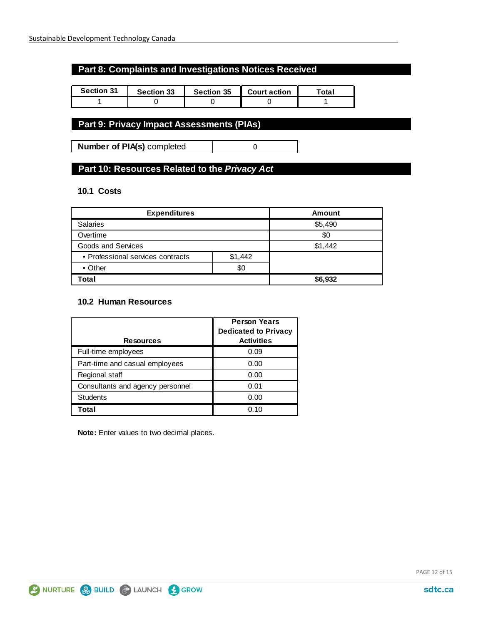#### **Part 8: Complaints and Investigations Notices Received**

| <b>Section 31</b> | <b>Section 33</b> | <b>Section 35</b> | <b>Court action</b> | <sup>-</sup> otal |
|-------------------|-------------------|-------------------|---------------------|-------------------|
|                   |                   |                   |                     |                   |

## **Part 9: Privacy Impact Assessments (PIAs)**

**Number of PIA(s)** completed  $\qquad$  0

## **Part 10: Resources Related to the** *Privacy Act*

#### **10.1 Costs**

| <b>Expenditures</b>               | <b>Amount</b> |         |
|-----------------------------------|---------------|---------|
| <b>Salaries</b>                   | \$5,490       |         |
| Overtime                          | \$0           |         |
| Goods and Services                |               | \$1,442 |
| • Professional services contracts | \$1,442       |         |
| • Other                           |               |         |
| Total                             |               | \$6,932 |

#### **10.2 Human Resources**

| <b>Resources</b>                 | <b>Person Years</b><br><b>Dedicated to Privacy</b><br><b>Activities</b> |
|----------------------------------|-------------------------------------------------------------------------|
| Full-time employees              | 0.09                                                                    |
| Part-time and casual employees   | 0.00                                                                    |
| Regional staff                   | 0.00                                                                    |
| Consultants and agency personnel | 0.01                                                                    |
| <b>Students</b>                  | 0.00                                                                    |
| Total                            | 0.10                                                                    |

**Note:** Enter values to two decimal places.

PAGE 12 of 15

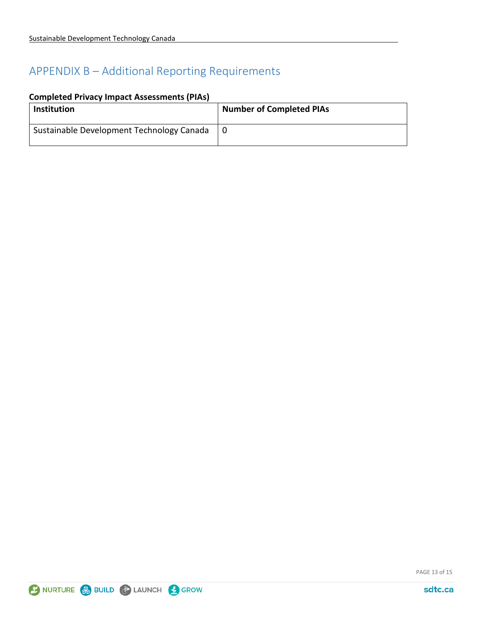## APPENDIX B – Additional Reporting Requirements

|  |  |  | <b>Completed Privacy Impact Assessments (PIAs)</b> |  |
|--|--|--|----------------------------------------------------|--|
|--|--|--|----------------------------------------------------|--|

| <b>Institution</b>                        | <b>Number of Completed PIAs</b> |
|-------------------------------------------|---------------------------------|
| Sustainable Development Technology Canada |                                 |

PAGE 13 of 15

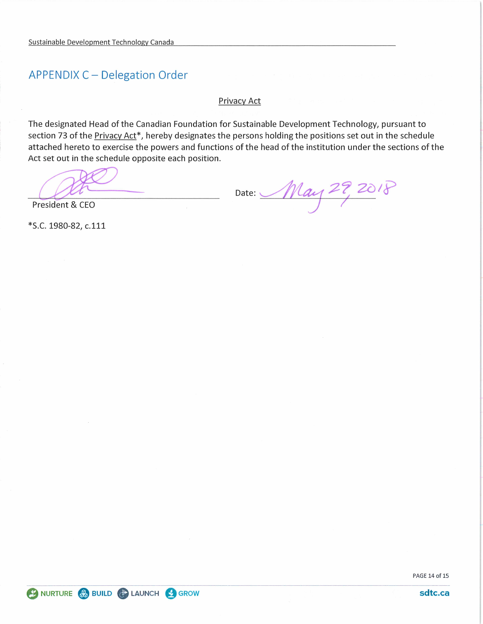## **APPENDIX C - Delegation Order**

Privacy Act

The designated Head of the Canadian Foundation for Sustainable Development Technology, pursuant to section 73 of the Privacy Act<sup>\*</sup>, hereby designates the persons holding the positions set out in the schedule attached hereto to exercise the powers and functions of the head of the institution under the sections of the Act set out in the schedule opposite each position.

President & CEO

Date: May 29, 2018

\*S.C. 1980-82, c.111

PAGE 14 of 15